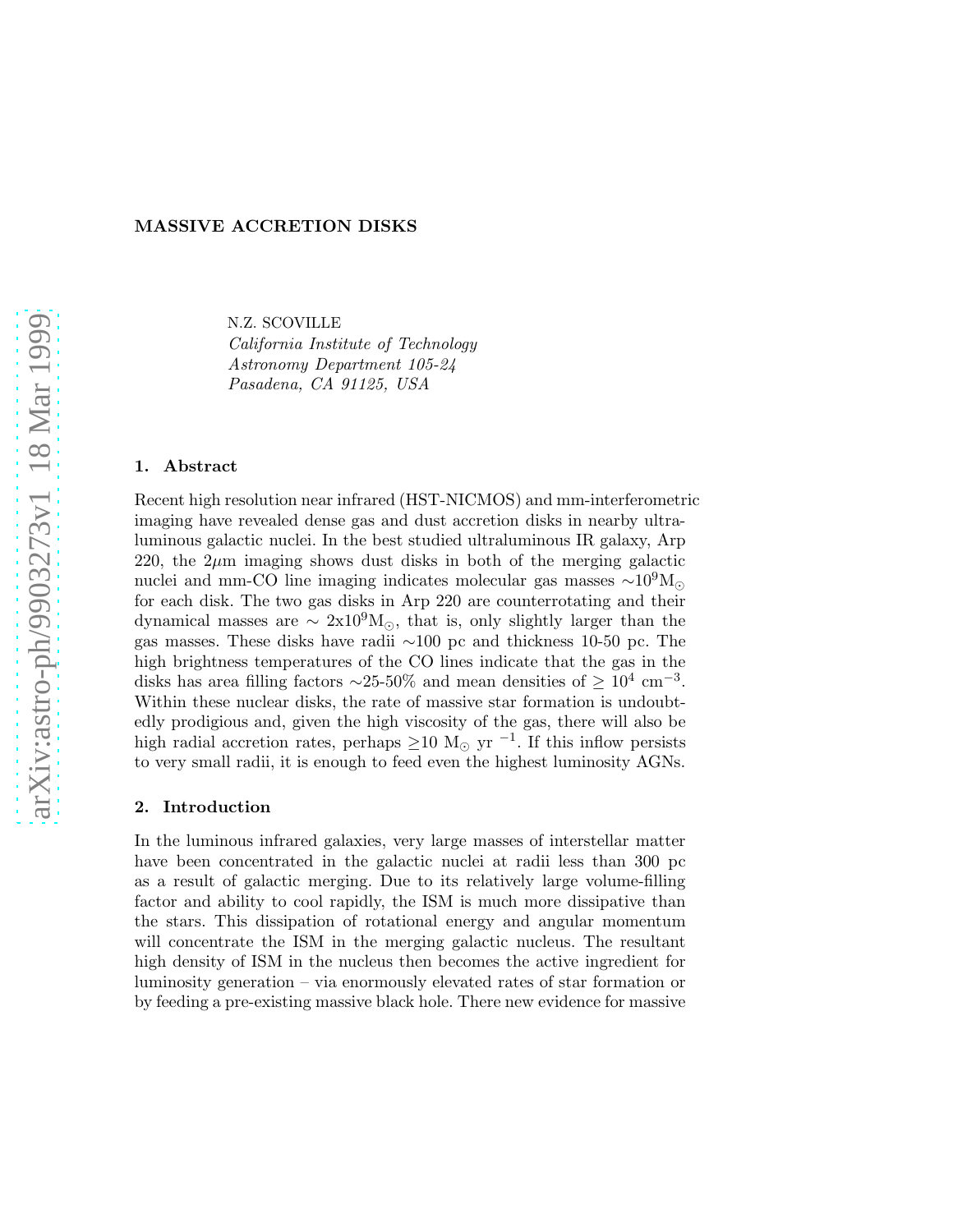# MASSIVE ACCRETION DISKS

N.Z. SCOVILLE

California Institute of Technology Astronomy Department 105-24 Pasadena, CA 91125, USA

### 1. Abstract

Recent high resolution near infrared (HST-NICMOS) and mm-interferometric imaging have revealed dense gas and dust accretion disks in nearby ultraluminous galactic nuclei. In the best studied ultraluminous IR galaxy, Arp 220, the  $2\mu$ m imaging shows dust disks in both of the merging galactic nuclei and mm-CO line imaging indicates molecular gas masses  $\sim 10^9 M_{\odot}$ for each disk. The two gas disks in Arp 220 are counterrotating and their dynamical masses are  $\sim 2x10^9M_{\odot}$ , that is, only slightly larger than the gas masses. These disks have radii ∼100 pc and thickness 10-50 pc. The high brightness temperatures of the CO lines indicate that the gas in the disks has area filling factors ~25-50% and mean densities of  $\geq 10^4$  cm<sup>-3</sup>. Within these nuclear disks, the rate of massive star formation is undoubtedly prodigious and, given the high viscosity of the gas, there will also be high radial accretion rates, perhaps  $\geq$ 10 M<sub>☉</sub> yr<sup>-1</sup>. If this inflow persists to very small radii, it is enough to feed even the highest luminosity AGNs.

# 2. Introduction

In the luminous infrared galaxies, very large masses of interstellar matter have been concentrated in the galactic nuclei at radii less than 300 pc as a result of galactic merging. Due to its relatively large volume-filling factor and ability to cool rapidly, the ISM is much more dissipative than the stars. This dissipation of rotational energy and angular momentum will concentrate the ISM in the merging galactic nucleus. The resultant high density of ISM in the nucleus then becomes the active ingredient for luminosity generation – via enormously elevated rates of star formation or by feeding a pre-existing massive black hole. There new evidence for massive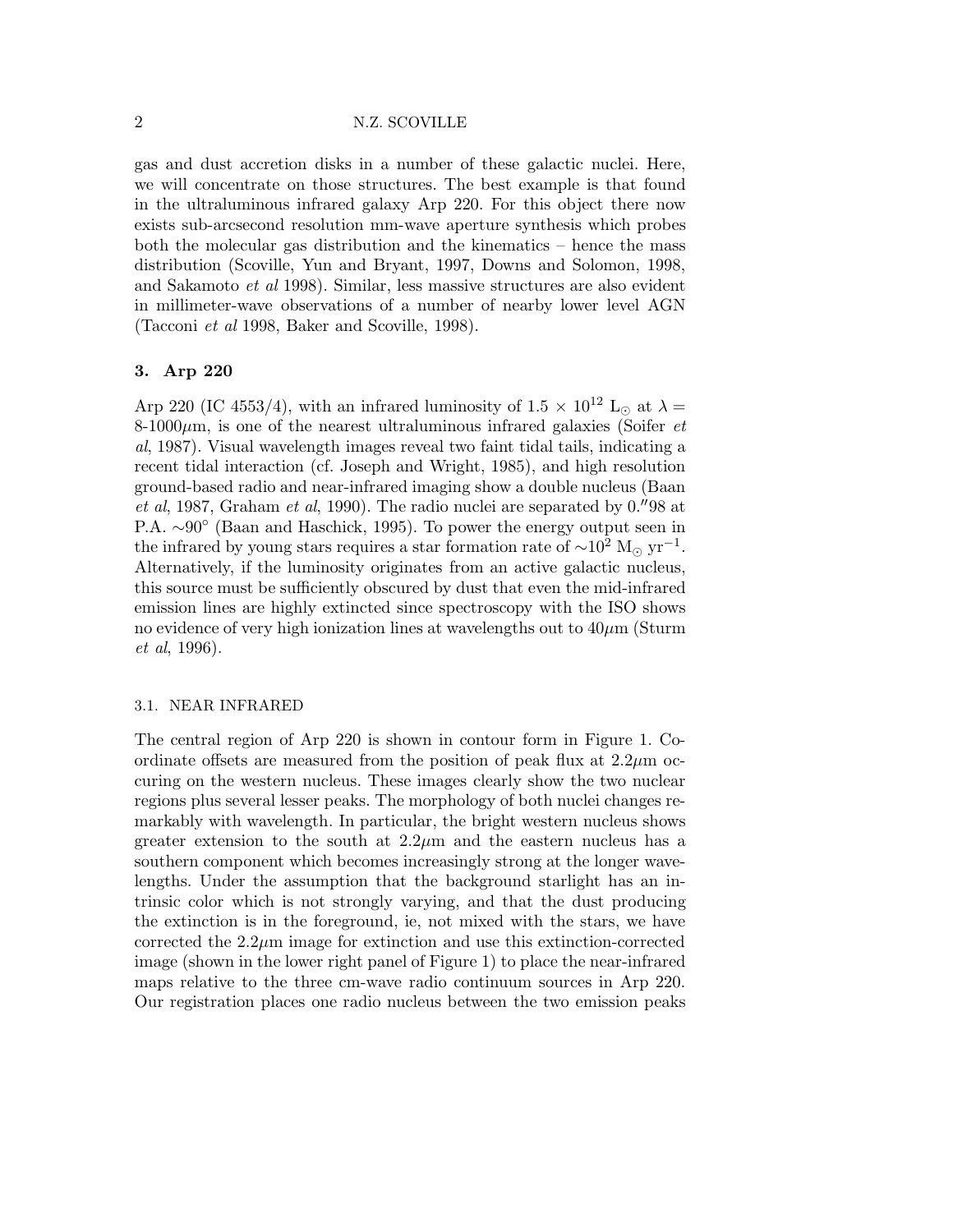# 2 N.Z. SCOVILLE

gas and dust accretion disks in a number of these galactic nuclei. Here, we will concentrate on those structures. The best example is that found in the ultraluminous infrared galaxy Arp 220. For this object there now exists sub-arcsecond resolution mm-wave aperture synthesis which probes both the molecular gas distribution and the kinematics – hence the mass distribution (Scoville, Yun and Bryant, 1997, Downs and Solomon, 1998, and Sakamoto et al 1998). Similar, less massive structures are also evident in millimeter-wave observations of a number of nearby lower level AGN (Tacconi et al 1998, Baker and Scoville, 1998).

## 3. Arp 220

Arp 220 (IC 4553/4), with an infrared luminosity of 1.5  $\times$  10<sup>12</sup> L<sub>☉</sub> at  $\lambda$  =  $8-1000\mu$ m, is one of the nearest ultraluminous infrared galaxies (Soifer *et* al, 1987). Visual wavelength images reveal two faint tidal tails, indicating a recent tidal interaction (cf. Joseph and Wright, 1985), and high resolution ground-based radio and near-infrared imaging show a double nucleus (Baan et al, 1987, Graham et al, 1990). The radio nuclei are separated by 0.′′98 at P.A. ~90° (Baan and Haschick, 1995). To power the energy output seen in the infrared by young stars requires a star formation rate of  $\sim$ 10<sup>2</sup> M<sub>☉</sub> yr<sup>-1</sup>. Alternatively, if the luminosity originates from an active galactic nucleus, this source must be sufficiently obscured by dust that even the mid-infrared emission lines are highly extincted since spectroscopy with the ISO shows no evidence of very high ionization lines at wavelengths out to  $40\mu$ m (Sturm et al, 1996).

#### 3.1. NEAR INFRARED

The central region of Arp 220 is shown in contour form in Figure 1. Coordinate offsets are measured from the position of peak flux at  $2.2\mu$ m occuring on the western nucleus. These images clearly show the two nuclear regions plus several lesser peaks. The morphology of both nuclei changes remarkably with wavelength. In particular, the bright western nucleus shows greater extension to the south at  $2.2\mu$ m and the eastern nucleus has a southern component which becomes increasingly strong at the longer wavelengths. Under the assumption that the background starlight has an intrinsic color which is not strongly varying, and that the dust producing the extinction is in the foreground, ie, not mixed with the stars, we have corrected the  $2.2\mu$ m image for extinction and use this extinction-corrected image (shown in the lower right panel of Figure 1) to place the near-infrared maps relative to the three cm-wave radio continuum sources in Arp 220. Our registration places one radio nucleus between the two emission peaks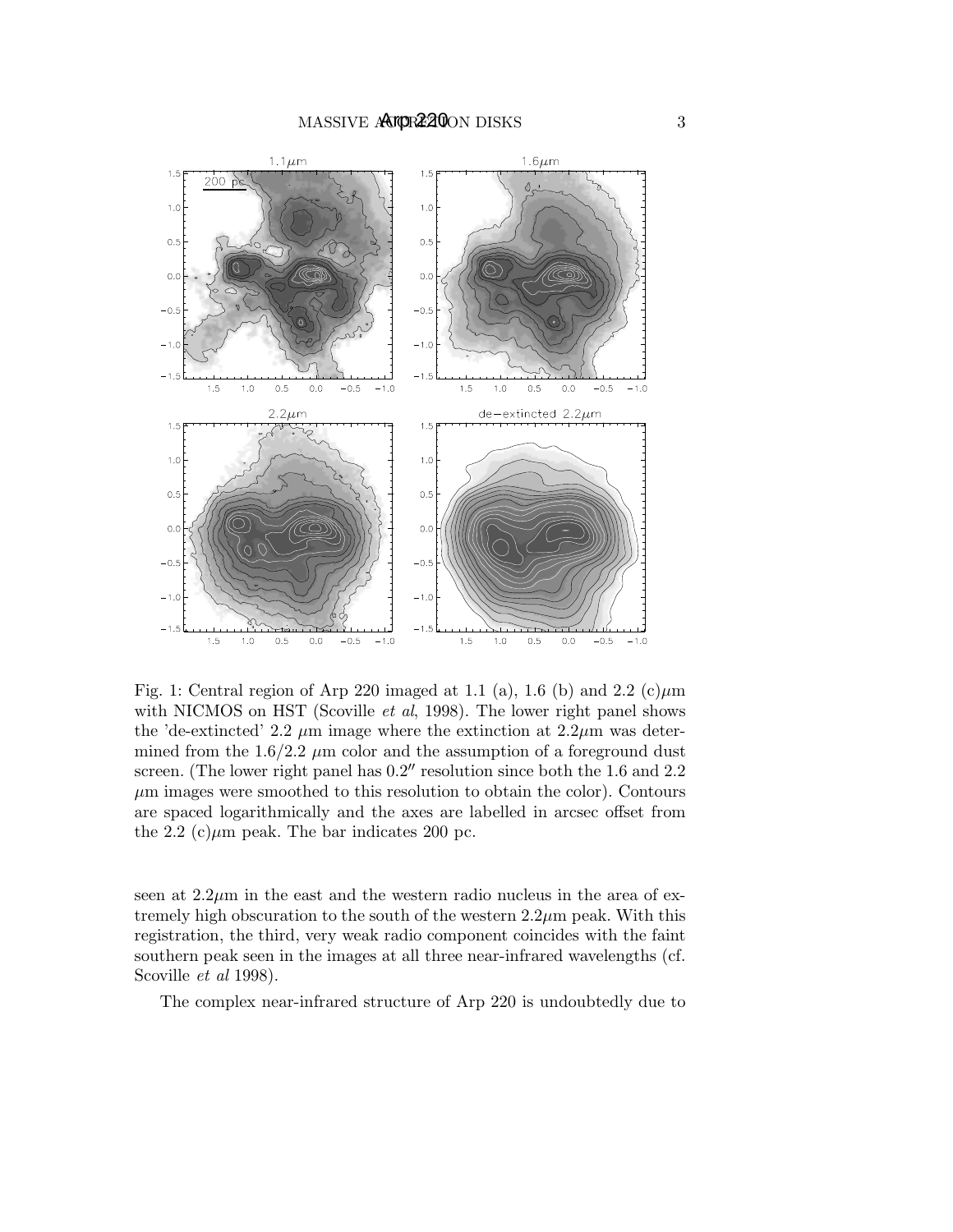

Fig. 1: Central region of Arp 220 imaged at 1.1 (a), 1.6 (b) and 2.2 (c) $\mu$ m with NICMOS on HST (Scoville *et al*, 1998). The lower right panel shows the 'de-extincted' 2.2  $\mu$ m image where the extinction at 2.2 $\mu$ m was determined from the  $1.6/2.2 \mu m$  color and the assumption of a foreground dust screen. (The lower right panel has  $0.2''$  resolution since both the 1.6 and 2.2  $\mu$ m images were smoothed to this resolution to obtain the color). Contours are spaced logarithmically and the axes are labelled in arcsec offset from the 2.2 (c) $\mu$ m peak. The bar indicates 200 pc.

seen at  $2.2\mu$ m in the east and the western radio nucleus in the area of extremely high obscuration to the south of the western  $2.2\mu$ m peak. With this registration, the third, very weak radio component coincides with the faint southern peak seen in the images at all three near-infrared wavelengths (cf. Scoville et al 1998).

The complex near-infrared structure of Arp 220 is undoubtedly due to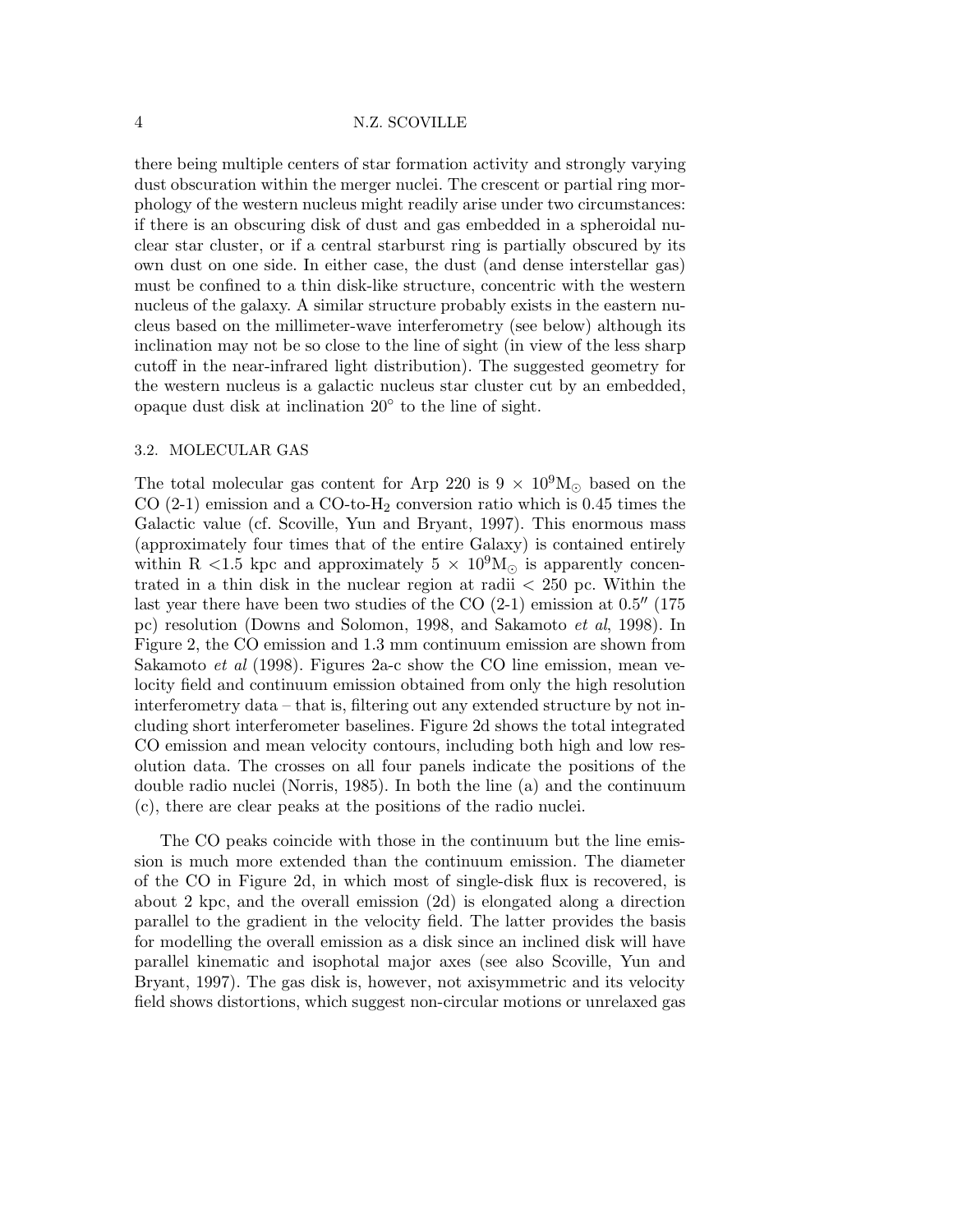#### 4 N.Z. SCOVILLE

there being multiple centers of star formation activity and strongly varying dust obscuration within the merger nuclei. The crescent or partial ring morphology of the western nucleus might readily arise under two circumstances: if there is an obscuring disk of dust and gas embedded in a spheroidal nuclear star cluster, or if a central starburst ring is partially obscured by its own dust on one side. In either case, the dust (and dense interstellar gas) must be confined to a thin disk-like structure, concentric with the western nucleus of the galaxy. A similar structure probably exists in the eastern nucleus based on the millimeter-wave interferometry (see below) although its inclination may not be so close to the line of sight (in view of the less sharp cutoff in the near-infrared light distribution). The suggested geometry for the western nucleus is a galactic nucleus star cluster cut by an embedded, opaque dust disk at inclination 20◦ to the line of sight.

### 3.2. MOLECULAR GAS

The total molecular gas content for Arp 220 is  $9 \times 10^9$ M<sub>☉</sub> based on the CO  $(2-1)$  emission and a CO-to-H<sub>2</sub> conversion ratio which is 0.45 times the Galactic value (cf. Scoville, Yun and Bryant, 1997). This enormous mass (approximately four times that of the entire Galaxy) is contained entirely within R <1.5 kpc and approximately  $5 \times 10^9$ M<sub> $\odot$ </sub> is apparently concentrated in a thin disk in the nuclear region at radii < 250 pc. Within the last year there have been two studies of the  $CO(2-1)$  emission at  $0.5''$  (175) pc) resolution (Downs and Solomon, 1998, and Sakamoto et al, 1998). In Figure 2, the CO emission and 1.3 mm continuum emission are shown from Sakamoto et al (1998). Figures 2a-c show the CO line emission, mean velocity field and continuum emission obtained from only the high resolution interferometry data – that is, filtering out any extended structure by not including short interferometer baselines. Figure 2d shows the total integrated CO emission and mean velocity contours, including both high and low resolution data. The crosses on all four panels indicate the positions of the double radio nuclei (Norris, 1985). In both the line (a) and the continuum (c), there are clear peaks at the positions of the radio nuclei.

The CO peaks coincide with those in the continuum but the line emission is much more extended than the continuum emission. The diameter of the CO in Figure 2d, in which most of single-disk flux is recovered, is about 2 kpc, and the overall emission (2d) is elongated along a direction parallel to the gradient in the velocity field. The latter provides the basis for modelling the overall emission as a disk since an inclined disk will have parallel kinematic and isophotal major axes (see also Scoville, Yun and Bryant, 1997). The gas disk is, however, not axisymmetric and its velocity field shows distortions, which suggest non-circular motions or unrelaxed gas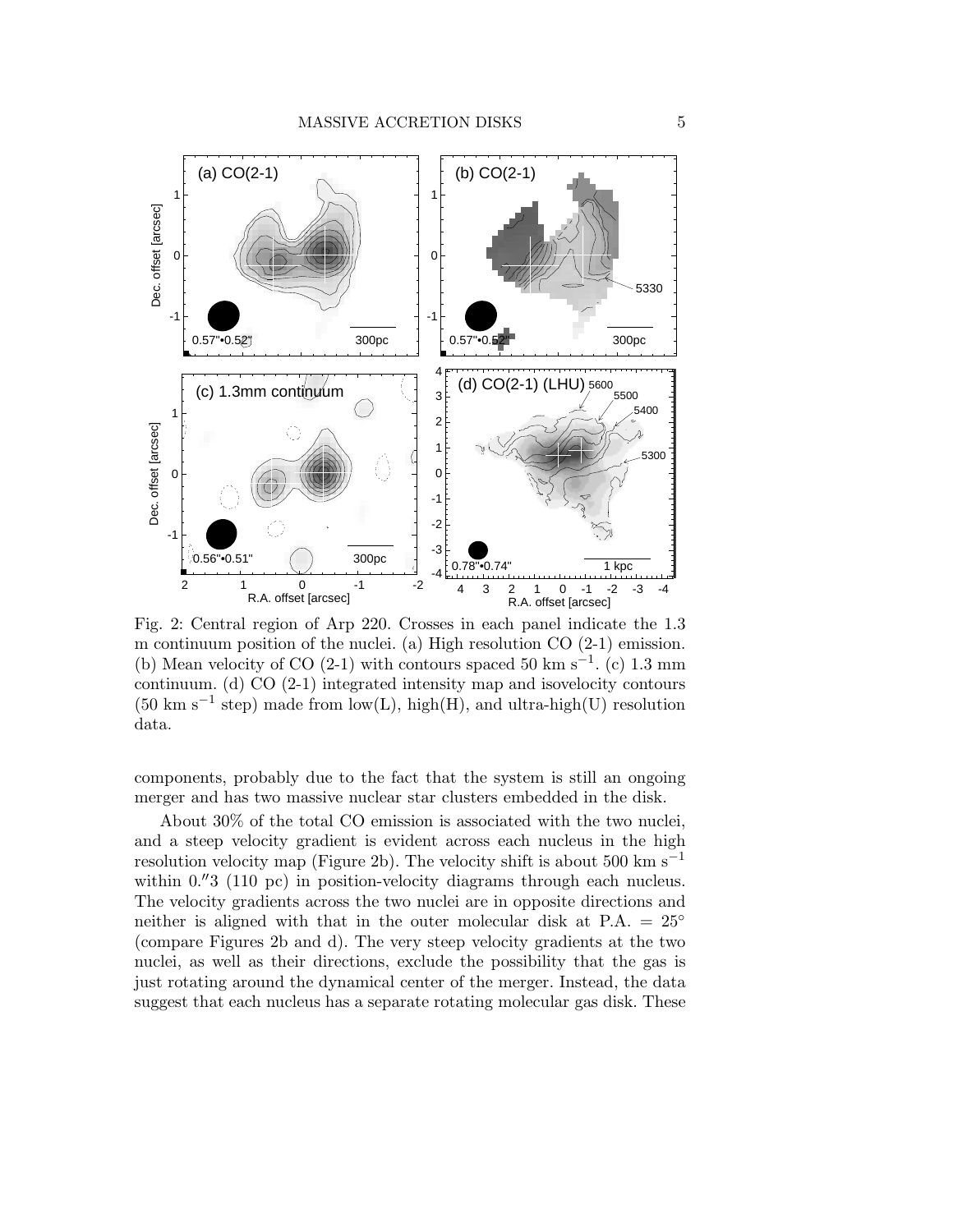

Fig. 2: Central region of Arp 220. Crosses in each panel indicate the 1.3 m continuum position of the nuclei. (a) High resolution CO (2-1) emission. (b) Mean velocity of CO (2-1) with contours spaced 50 km s<sup>-1</sup>. (c) 1.3 mm continuum. (d) CO (2-1) integrated intensity map and isovelocity contours  $(50 \text{ km s}^{-1} \text{ step})$  made from low(L), high(H), and ultra-high(U) resolution data.

components, probably due to the fact that the system is still an ongoing merger and has two massive nuclear star clusters embedded in the disk.

About 30% of the total CO emission is associated with the two nuclei, and a steep velocity gradient is evident across each nucleus in the high resolution velocity map (Figure 2b). The velocity shift is about 500 km s<sup>−1</sup> within  $0.^{''}3$  (110 pc) in position-velocity diagrams through each nucleus. The velocity gradients across the two nuclei are in opposite directions and neither is aligned with that in the outer molecular disk at  $P.A. = 25^{\circ}$ (compare Figures 2b and d). The very steep velocity gradients at the two nuclei, as well as their directions, exclude the possibility that the gas is just rotating around the dynamical center of the merger. Instead, the data suggest that each nucleus has a separate rotating molecular gas disk. These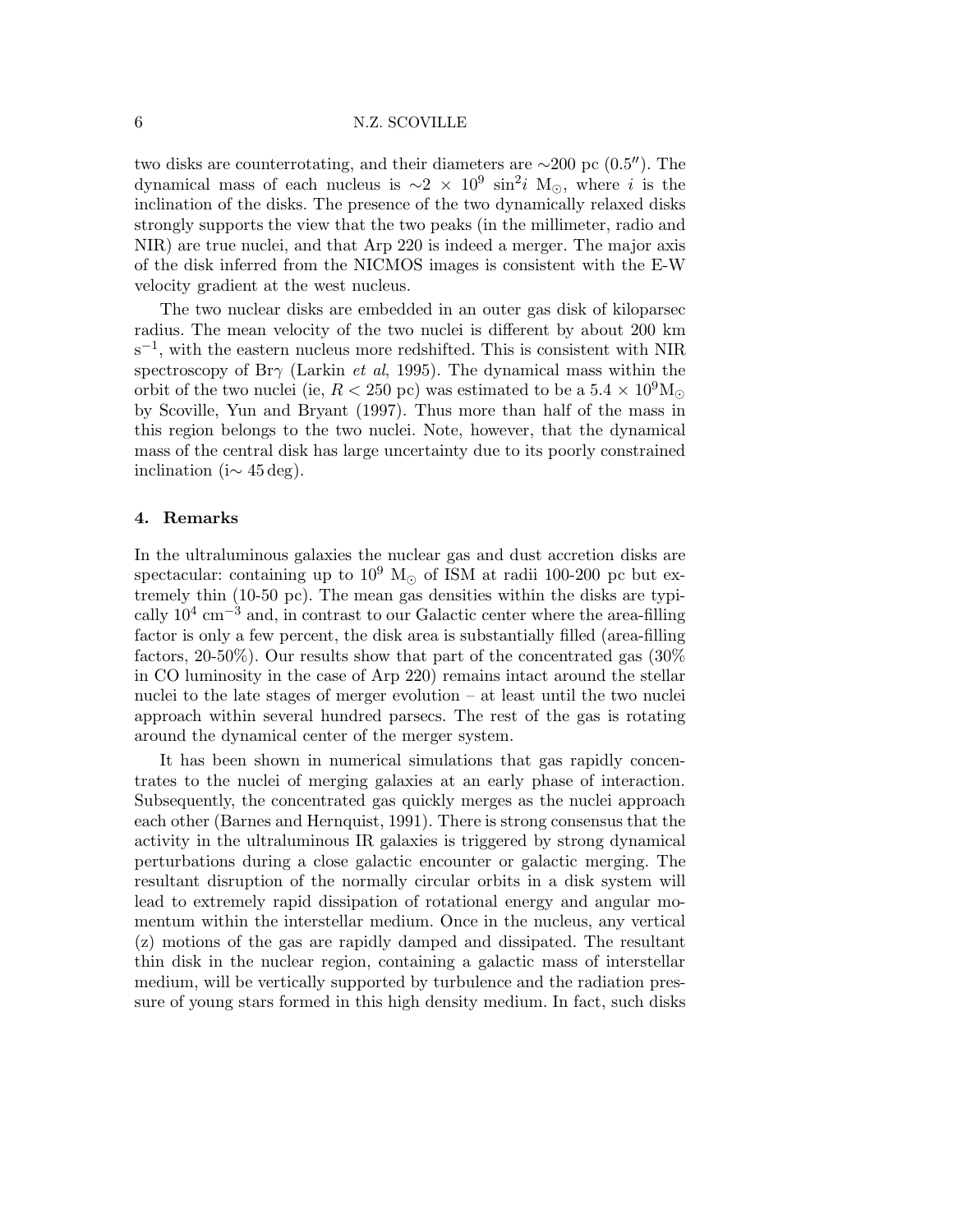#### 6 N.Z. SCOVILLE

two disks are counterrotating, and their diameters are ∼200 pc (0.5′′). The dynamical mass of each nucleus is  $\sim 2 \times 10^9 \sin^2 i$  M<sub>☉</sub>, where *i* is the inclination of the disks. The presence of the two dynamically relaxed disks strongly supports the view that the two peaks (in the millimeter, radio and NIR) are true nuclei, and that Arp 220 is indeed a merger. The major axis of the disk inferred from the NICMOS images is consistent with the E-W velocity gradient at the west nucleus.

The two nuclear disks are embedded in an outer gas disk of kiloparsec radius. The mean velocity of the two nuclei is different by about 200 km s<sup>-1</sup>, with the eastern nucleus more redshifted. This is consistent with NIR spectroscopy of Br $\gamma$  (Larkin *et al*, 1995). The dynamical mass within the orbit of the two nuclei (ie,  $R < 250$  pc) was estimated to be a  $5.4 \times 10^9$ M<sub> $\odot$ </sub> by Scoville, Yun and Bryant (1997). Thus more than half of the mass in this region belongs to the two nuclei. Note, however, that the dynamical mass of the central disk has large uncertainty due to its poorly constrained inclination (i $\sim$  45 deg).

### 4. Remarks

In the ultraluminous galaxies the nuclear gas and dust accretion disks are spectacular: containing up to  $10^9$  M<sub>☉</sub> of ISM at radii 100-200 pc but extremely thin (10-50 pc). The mean gas densities within the disks are typically  $10^4$  cm<sup>-3</sup> and, in contrast to our Galactic center where the area-filling factor is only a few percent, the disk area is substantially filled (area-filling factors, 20-50%). Our results show that part of the concentrated gas (30% in CO luminosity in the case of Arp 220) remains intact around the stellar nuclei to the late stages of merger evolution – at least until the two nuclei approach within several hundred parsecs. The rest of the gas is rotating around the dynamical center of the merger system.

It has been shown in numerical simulations that gas rapidly concentrates to the nuclei of merging galaxies at an early phase of interaction. Subsequently, the concentrated gas quickly merges as the nuclei approach each other (Barnes and Hernquist, 1991). There is strong consensus that the activity in the ultraluminous IR galaxies is triggered by strong dynamical perturbations during a close galactic encounter or galactic merging. The resultant disruption of the normally circular orbits in a disk system will lead to extremely rapid dissipation of rotational energy and angular momentum within the interstellar medium. Once in the nucleus, any vertical (z) motions of the gas are rapidly damped and dissipated. The resultant thin disk in the nuclear region, containing a galactic mass of interstellar medium, will be vertically supported by turbulence and the radiation pressure of young stars formed in this high density medium. In fact, such disks